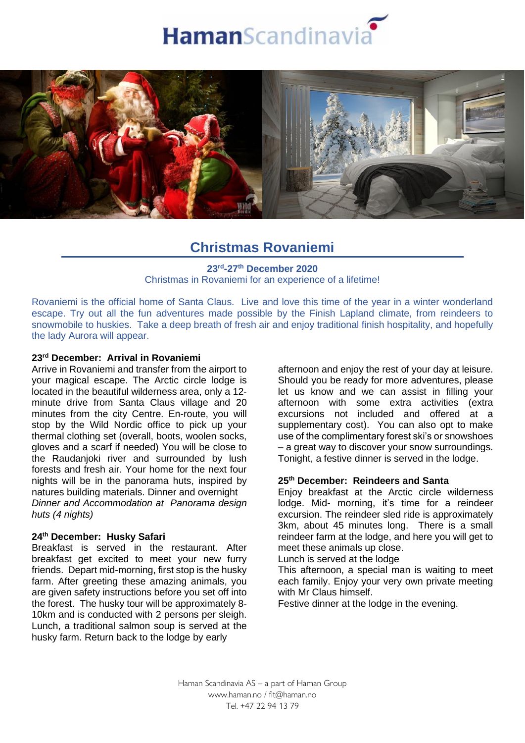



# **Christmas Rovaniemi**

### **23rd -27th December 2020** Christmas in Rovaniemi for an experience of a lifetime!

Rovaniemi is the official home of Santa Claus. Live and love this time of the year in a winter wonderland escape. Try out all the fun adventures made possible by the Finish Lapland climate, from reindeers to snowmobile to huskies. Take a deep breath of fresh air and enjoy traditional finish hospitality, and hopefully the lady Aurora will appear.

## **23rd December: Arrival in Rovaniemi**

Arrive in Rovaniemi and transfer from the airport to your magical escape. The Arctic circle lodge is located in the beautiful wilderness area, only a 12 minute drive from Santa Claus village and 20 minutes from the city Centre. En-route, you will stop by the Wild Nordic office to pick up your thermal clothing set (overall, boots, woolen socks, gloves and a scarf if needed) You will be close to the Raudanjoki river and surrounded by lush forests and fresh air. Your home for the next four nights will be in the panorama huts, inspired by natures building materials. Dinner and overnight *Dinner and Accommodation at Panorama design huts (4 nights)*

## **24th December: Husky Safari**

Breakfast is served in the restaurant. After breakfast get excited to meet your new furry friends. Depart mid-morning, first stop is the husky farm. After greeting these amazing animals, you are given safety instructions before you set off into the forest. The husky tour will be approximately 8- 10km and is conducted with 2 persons per sleigh. Lunch, a traditional salmon soup is served at the husky farm. Return back to the lodge by early

afternoon and enjoy the rest of your day at leisure. Should you be ready for more adventures, please let us know and we can assist in filling your afternoon with some extra activities (extra excursions not included and offered at a supplementary cost). You can also opt to make use of the complimentary forest ski's or snowshoes – a great way to discover your snow surroundings. Tonight, a festive dinner is served in the lodge.

## **25th December: Reindeers and Santa**

Enjoy breakfast at the Arctic circle wilderness lodge. Mid- morning, it's time for a reindeer excursion. The reindeer sled ride is approximately 3km, about 45 minutes long. There is a small reindeer farm at the lodge, and here you will get to meet these animals up close.

Lunch is served at the lodge

This afternoon, a special man is waiting to meet each family. Enjoy your very own private meeting with Mr Claus himself.

Festive dinner at the lodge in the evening.